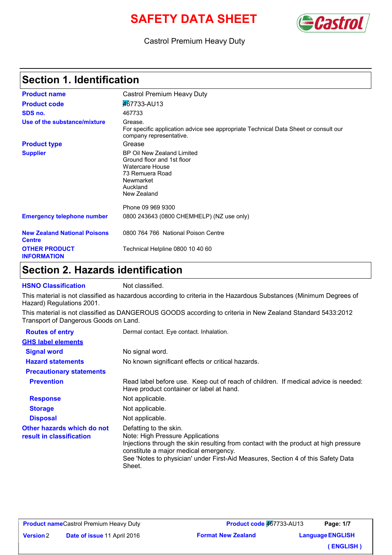# **SAFETY DATA SHEET CONSTRUCTED**



#### Castrol Premium Heavy Duty

### **Section 1. Identification**

| <b>Product name</b>                                  | Castrol Premium Heavy Duty                                                                                                                                  |  |
|------------------------------------------------------|-------------------------------------------------------------------------------------------------------------------------------------------------------------|--|
| <b>Product code</b>                                  | 467733-AU13                                                                                                                                                 |  |
| SDS no.                                              | 467733                                                                                                                                                      |  |
| Use of the substance/mixture                         | Grease.<br>For specific application advice see appropriate Technical Data Sheet or consult our<br>company representative.                                   |  |
| <b>Product type</b>                                  | Grease                                                                                                                                                      |  |
| <b>Supplier</b>                                      | BP Oil New Zealand Limited<br>Ground floor and 1st floor<br>Watercare House<br>73 Remuera Road<br>Newmarket<br>Auckland<br>New Zealand<br>Phone 09 969 9300 |  |
|                                                      |                                                                                                                                                             |  |
| <b>Emergency telephone number</b>                    | 0800 243643 (0800 CHEMHELP) (NZ use only)                                                                                                                   |  |
| <b>New Zealand National Poisons</b><br><b>Centre</b> | 0800 764 766 National Poison Centre                                                                                                                         |  |
| <b>OTHER PRODUCT</b><br><b>INFORMATION</b>           | Technical Helpline 0800 10 40 60                                                                                                                            |  |

#### **Section 2. Hazards identification**

**HSNO Classification** Not classified.

This material is not classified as hazardous according to criteria in the Hazardous Substances (Minimum Degrees of Hazard) Regulations 2001.

This material is not classified as DANGEROUS GOODS according to criteria in New Zealand Standard 5433:2012 Transport of Dangerous Goods on Land.

| <b>Routes of entry</b>                                 | Dermal contact. Eye contact. Inhalation.                                                                                                                                                                                                                                                  |  |
|--------------------------------------------------------|-------------------------------------------------------------------------------------------------------------------------------------------------------------------------------------------------------------------------------------------------------------------------------------------|--|
| <b>GHS label elements</b>                              |                                                                                                                                                                                                                                                                                           |  |
| <b>Signal word</b>                                     | No signal word.                                                                                                                                                                                                                                                                           |  |
| <b>Hazard statements</b>                               | No known significant effects or critical hazards.                                                                                                                                                                                                                                         |  |
| <b>Precautionary statements</b>                        |                                                                                                                                                                                                                                                                                           |  |
| <b>Prevention</b>                                      | Read label before use. Keep out of reach of children. If medical advice is needed:<br>Have product container or label at hand.                                                                                                                                                            |  |
| <b>Response</b>                                        | Not applicable.                                                                                                                                                                                                                                                                           |  |
| <b>Storage</b>                                         | Not applicable.                                                                                                                                                                                                                                                                           |  |
| <b>Disposal</b>                                        | Not applicable.                                                                                                                                                                                                                                                                           |  |
| Other hazards which do not<br>result in classification | Defatting to the skin.<br>Note: High Pressure Applications<br>Injections through the skin resulting from contact with the product at high pressure<br>constitute a major medical emergency.<br>See 'Notes to physician' under First-Aid Measures, Section 4 of this Safety Data<br>Sheet. |  |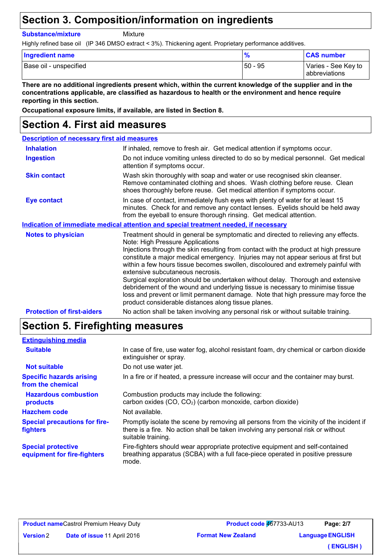#### **Section 3. Composition/information on ingredients**

**Substance/mixture**

Mixture

Highly refined base oil (IP 346 DMSO extract < 3%). Thickening agent. Proprietary performance additives.

| <b>Ingredient name</b> |         | <b>CAS number</b>                    |
|------------------------|---------|--------------------------------------|
| Base oil - unspecified | 50 - 95 | Varies - See Key to<br>abbreviations |

**There are no additional ingredients present which, within the current knowledge of the supplier and in the concentrations applicable, are classified as hazardous to health or the environment and hence require reporting in this section.**

**Occupational exposure limits, if available, are listed in Section 8.**

#### **Section 4. First aid measures**

#### **Description of necessary first aid measures**

| <b>Inhalation</b>                 | If inhaled, remove to fresh air. Get medical attention if symptoms occur.                                                                                                                                                                                                                                                                                                                                                                                                                                                                                                                                                                                                                                                                     |  |
|-----------------------------------|-----------------------------------------------------------------------------------------------------------------------------------------------------------------------------------------------------------------------------------------------------------------------------------------------------------------------------------------------------------------------------------------------------------------------------------------------------------------------------------------------------------------------------------------------------------------------------------------------------------------------------------------------------------------------------------------------------------------------------------------------|--|
| <b>Ingestion</b>                  | Do not induce vomiting unless directed to do so by medical personnel. Get medical<br>attention if symptoms occur.                                                                                                                                                                                                                                                                                                                                                                                                                                                                                                                                                                                                                             |  |
| <b>Skin contact</b>               | Wash skin thoroughly with soap and water or use recognised skin cleanser.<br>Remove contaminated clothing and shoes. Wash clothing before reuse. Clean<br>shoes thoroughly before reuse. Get medical attention if symptoms occur.                                                                                                                                                                                                                                                                                                                                                                                                                                                                                                             |  |
| <b>Eye contact</b>                | In case of contact, immediately flush eyes with plenty of water for at least 15<br>minutes. Check for and remove any contact lenses. Eyelids should be held away<br>from the eyeball to ensure thorough rinsing. Get medical attention.                                                                                                                                                                                                                                                                                                                                                                                                                                                                                                       |  |
|                                   | Indication of immediate medical attention and special treatment needed, if necessary                                                                                                                                                                                                                                                                                                                                                                                                                                                                                                                                                                                                                                                          |  |
| <b>Notes to physician</b>         | Treatment should in general be symptomatic and directed to relieving any effects.<br>Note: High Pressure Applications<br>Injections through the skin resulting from contact with the product at high pressure<br>constitute a major medical emergency. Injuries may not appear serious at first but<br>within a few hours tissue becomes swollen, discoloured and extremely painful with<br>extensive subcutaneous necrosis.<br>Surgical exploration should be undertaken without delay. Thorough and extensive<br>debridement of the wound and underlying tissue is necessary to minimise tissue<br>loss and prevent or limit permanent damage. Note that high pressure may force the<br>product considerable distances along tissue planes. |  |
| <b>Protection of first-aiders</b> | No action shall be taken involving any personal risk or without suitable training.                                                                                                                                                                                                                                                                                                                                                                                                                                                                                                                                                                                                                                                            |  |

#### **Section 5. Firefighting measures**

| <b>Extinguishing media</b>                               |                                                                                                                                                                                                   |  |
|----------------------------------------------------------|---------------------------------------------------------------------------------------------------------------------------------------------------------------------------------------------------|--|
| <b>Suitable</b>                                          | In case of fire, use water fog, alcohol resistant foam, dry chemical or carbon dioxide<br>extinguisher or spray.                                                                                  |  |
| <b>Not suitable</b>                                      | Do not use water jet.                                                                                                                                                                             |  |
| <b>Specific hazards arising</b><br>from the chemical     | In a fire or if heated, a pressure increase will occur and the container may burst.                                                                                                               |  |
| <b>Hazardous combustion</b><br>products                  | Combustion products may include the following:<br>carbon oxides (CO, CO <sub>2</sub> ) (carbon monoxide, carbon dioxide)                                                                          |  |
| <b>Hazchem code</b>                                      | Not available.                                                                                                                                                                                    |  |
| <b>Special precautions for fire-</b><br>fighters         | Promptly isolate the scene by removing all persons from the vicinity of the incident if<br>there is a fire. No action shall be taken involving any personal risk or without<br>suitable training. |  |
| <b>Special protective</b><br>equipment for fire-fighters | Fire-fighters should wear appropriate protective equipment and self-contained<br>breathing apparatus (SCBA) with a full face-piece operated in positive pressure<br>mode.                         |  |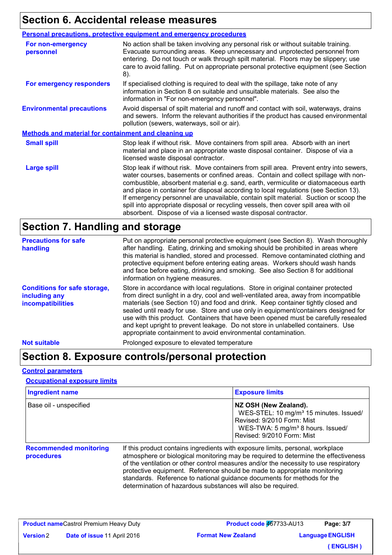# **Section 6. Accidental release measures**

|                                                      | <b>Personal precautions, protective equipment and emergency procedures</b>                                                                                                                                                                                                                                                                                                                                                                                                                                                                                                                                     |  |
|------------------------------------------------------|----------------------------------------------------------------------------------------------------------------------------------------------------------------------------------------------------------------------------------------------------------------------------------------------------------------------------------------------------------------------------------------------------------------------------------------------------------------------------------------------------------------------------------------------------------------------------------------------------------------|--|
| For non-emergency<br>personnel                       | No action shall be taken involving any personal risk or without suitable training.<br>Evacuate surrounding areas. Keep unnecessary and unprotected personnel from<br>entering. Do not touch or walk through spilt material. Floors may be slippery; use<br>care to avoid falling. Put on appropriate personal protective equipment (see Section<br>8).                                                                                                                                                                                                                                                         |  |
| For emergency responders                             | If specialised clothing is required to deal with the spillage, take note of any<br>information in Section 8 on suitable and unsuitable materials. See also the<br>information in "For non-emergency personnel".                                                                                                                                                                                                                                                                                                                                                                                                |  |
| <b>Environmental precautions</b>                     | Avoid dispersal of spilt material and runoff and contact with soil, waterways, drains<br>and sewers. Inform the relevant authorities if the product has caused environmental<br>pollution (sewers, waterways, soil or air).                                                                                                                                                                                                                                                                                                                                                                                    |  |
| Methods and material for containment and cleaning up |                                                                                                                                                                                                                                                                                                                                                                                                                                                                                                                                                                                                                |  |
| <b>Small spill</b>                                   | Stop leak if without risk. Move containers from spill area. Absorb with an inert<br>material and place in an appropriate waste disposal container. Dispose of via a<br>licensed waste disposal contractor.                                                                                                                                                                                                                                                                                                                                                                                                     |  |
| <b>Large spill</b>                                   | Stop leak if without risk. Move containers from spill area. Prevent entry into sewers,<br>water courses, basements or confined areas. Contain and collect spillage with non-<br>combustible, absorbent material e.g. sand, earth, vermiculite or diatomaceous earth<br>and place in container for disposal according to local regulations (see Section 13).<br>If emergency personnel are unavailable, contain spilt material. Suction or scoop the<br>spill into appropriate disposal or recycling vessels, then cover spill area with oil<br>absorbent. Dispose of via a licensed waste disposal contractor. |  |

### **Section 7. Handling and storage**

| <b>Precautions for safe</b><br>handling                                          | Put on appropriate personal protective equipment (see Section 8). Wash thoroughly<br>after handling. Eating, drinking and smoking should be prohibited in areas where<br>this material is handled, stored and processed. Remove contaminated clothing and<br>protective equipment before entering eating areas. Workers should wash hands<br>and face before eating, drinking and smoking. See also Section 8 for additional<br>information on hygiene measures.                                                                                                                               |
|----------------------------------------------------------------------------------|------------------------------------------------------------------------------------------------------------------------------------------------------------------------------------------------------------------------------------------------------------------------------------------------------------------------------------------------------------------------------------------------------------------------------------------------------------------------------------------------------------------------------------------------------------------------------------------------|
| <b>Conditions for safe storage,</b><br>including any<br><b>incompatibilities</b> | Store in accordance with local regulations. Store in original container protected<br>from direct sunlight in a dry, cool and well-ventilated area, away from incompatible<br>materials (see Section 10) and food and drink. Keep container tightly closed and<br>sealed until ready for use. Store and use only in equipment/containers designed for<br>use with this product. Containers that have been opened must be carefully resealed<br>and kept upright to prevent leakage. Do not store in unlabelled containers. Use<br>appropriate containment to avoid environmental contamination. |
| <b>Not suitable</b>                                                              | Prolonged exposure to elevated temperature                                                                                                                                                                                                                                                                                                                                                                                                                                                                                                                                                     |

### **Section 8. Exposure controls/personal protection**

#### **Control parameters**

#### **Occupational exposure limits**

| <b>Ingredient name</b>                      |                                                                                                                                                                                                                                                                                                                                                                                                                     | <b>Exposure limits</b>                                                                                                                                                                   |
|---------------------------------------------|---------------------------------------------------------------------------------------------------------------------------------------------------------------------------------------------------------------------------------------------------------------------------------------------------------------------------------------------------------------------------------------------------------------------|------------------------------------------------------------------------------------------------------------------------------------------------------------------------------------------|
| Base oil - unspecified                      |                                                                                                                                                                                                                                                                                                                                                                                                                     | NZ OSH (New Zealand).<br>WES-STEL: 10 mg/m <sup>3</sup> 15 minutes. Issued/<br>Revised: 9/2010 Form: Mist<br>WES-TWA: 5 mg/m <sup>3</sup> 8 hours. Issued/<br>Revised: 9/2010 Form: Mist |
| <b>Recommended monitoring</b><br>procedures | If this product contains ingredients with exposure limits, personal, workplace<br>atmosphere or biological monitoring may be required to determine the effectiveness<br>of the ventilation or other control measures and/or the necessity to use respiratory<br>protective equipment. Reference should be made to appropriate monitoring<br>standards. Reference to national guidance documents for methods for the |                                                                                                                                                                                          |

determination of hazardous substances will also be required.

|                  | <b>Product nameCastrol Premium Heavy Duty</b> | Product code 467733-AU13  | Page: 3/7               |
|------------------|-----------------------------------------------|---------------------------|-------------------------|
| <b>Version 2</b> | <b>Date of issue 11 April 2016</b>            | <b>Format New Zealand</b> | <b>Language ENGLISH</b> |
|                  |                                               |                           | (ENGLISH)               |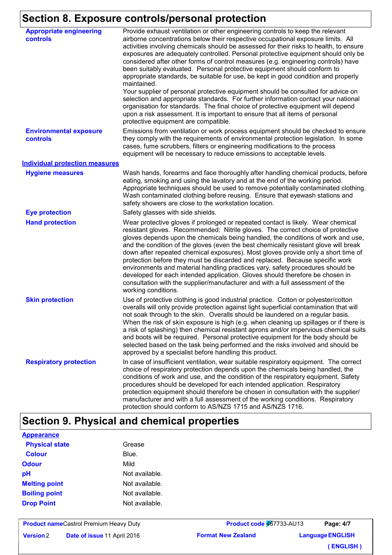# **Section 8. Exposure controls/personal protection**

| <b>Appropriate engineering</b><br><b>controls</b> | Provide exhaust ventilation or other engineering controls to keep the relevant<br>airborne concentrations below their respective occupational exposure limits. All<br>activities involving chemicals should be assessed for their risks to health, to ensure<br>exposures are adequately controlled. Personal protective equipment should only be<br>considered after other forms of control measures (e.g. engineering controls) have<br>been suitably evaluated. Personal protective equipment should conform to<br>appropriate standards, be suitable for use, be kept in good condition and properly<br>maintained.<br>Your supplier of personal protective equipment should be consulted for advice on<br>selection and appropriate standards. For further information contact your national<br>organisation for standards. The final choice of protective equipment will depend<br>upon a risk assessment. It is important to ensure that all items of personal<br>protective equipment are compatible. |
|---------------------------------------------------|---------------------------------------------------------------------------------------------------------------------------------------------------------------------------------------------------------------------------------------------------------------------------------------------------------------------------------------------------------------------------------------------------------------------------------------------------------------------------------------------------------------------------------------------------------------------------------------------------------------------------------------------------------------------------------------------------------------------------------------------------------------------------------------------------------------------------------------------------------------------------------------------------------------------------------------------------------------------------------------------------------------|
| <b>Environmental exposure</b><br>controls         | Emissions from ventilation or work process equipment should be checked to ensure<br>they comply with the requirements of environmental protection legislation. In some<br>cases, fume scrubbers, filters or engineering modifications to the process<br>equipment will be necessary to reduce emissions to acceptable levels.                                                                                                                                                                                                                                                                                                                                                                                                                                                                                                                                                                                                                                                                                 |
| <b>Individual protection measures</b>             |                                                                                                                                                                                                                                                                                                                                                                                                                                                                                                                                                                                                                                                                                                                                                                                                                                                                                                                                                                                                               |
| <b>Hygiene measures</b>                           | Wash hands, forearms and face thoroughly after handling chemical products, before<br>eating, smoking and using the lavatory and at the end of the working period.<br>Appropriate techniques should be used to remove potentially contaminated clothing.<br>Wash contaminated clothing before reusing. Ensure that eyewash stations and<br>safety showers are close to the workstation location.                                                                                                                                                                                                                                                                                                                                                                                                                                                                                                                                                                                                               |
| <b>Eye protection</b>                             | Safety glasses with side shields.                                                                                                                                                                                                                                                                                                                                                                                                                                                                                                                                                                                                                                                                                                                                                                                                                                                                                                                                                                             |
| <b>Hand protection</b>                            | Wear protective gloves if prolonged or repeated contact is likely. Wear chemical<br>resistant gloves. Recommended: Nitrile gloves. The correct choice of protective<br>gloves depends upon the chemicals being handled, the conditions of work and use,<br>and the condition of the gloves (even the best chemically resistant glove will break<br>down after repeated chemical exposures). Most gloves provide only a short time of<br>protection before they must be discarded and replaced. Because specific work<br>environments and material handling practices vary, safety procedures should be<br>developed for each intended application. Gloves should therefore be chosen in<br>consultation with the supplier/manufacturer and with a full assessment of the<br>working conditions.                                                                                                                                                                                                               |
| <b>Skin protection</b>                            | Use of protective clothing is good industrial practice. Cotton or polyester/cotton<br>overalls will only provide protection against light superficial contamination that will<br>not soak through to the skin. Overalls should be laundered on a regular basis.<br>When the risk of skin exposure is high (e.g. when cleaning up spillages or if there is<br>a risk of splashing) then chemical resistant aprons and/or impervious chemical suits<br>and boots will be required. Personal protective equipment for the body should be<br>selected based on the task being performed and the risks involved and should be<br>approved by a specialist before handling this product.                                                                                                                                                                                                                                                                                                                            |
| <b>Respiratory protection</b>                     | In case of insufficient ventilation, wear suitable respiratory equipment. The correct<br>choice of respiratory protection depends upon the chemicals being handled, the<br>conditions of work and use, and the condition of the respiratory equipment. Safety<br>procedures should be developed for each intended application. Respiratory<br>protection equipment should therefore be chosen in consultation with the supplier/<br>manufacturer and with a full assessment of the working conditions. Respiratory<br>protection should conform to AS/NZS 1715 and AS/NZS 1716.                                                                                                                                                                                                                                                                                                                                                                                                                               |

### **Section 9. Physical and chemical properties**

| <b>Appearance</b>     |                |
|-----------------------|----------------|
| <b>Physical state</b> | Grease         |
| <b>Colour</b>         | Blue.          |
| Odour                 | Mild           |
| рH                    | Not available. |
| <b>Melting point</b>  | Not available. |
| <b>Boiling point</b>  | Not available. |
| <b>Drop Point</b>     | Not available. |
|                       |                |

**Product name** Castrol Premium Heavy Duty **Date of issue 11 April 2016 Version**

**Format New Zealand Product code 467733-AU13 Language ENGLISH Page: 4/7 ( ENGLISH )**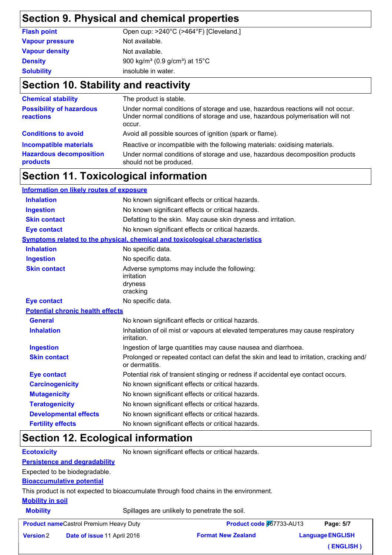#### **Section 9. Physical and chemical properties**

| <b>Flash point</b>     | Open cup: >240°C (>464°F) [Cleveland.]                           |
|------------------------|------------------------------------------------------------------|
| <b>Vapour pressure</b> | Not available.                                                   |
| <b>Vapour density</b>  | Not available.                                                   |
| <b>Density</b>         | 900 kg/m <sup>3</sup> (0.9 g/cm <sup>3</sup> ) at $15^{\circ}$ C |
| <b>Solubility</b>      | insoluble in water.                                              |
|                        |                                                                  |

### **Section 10. Stability and reactivity**

| <b>Chemical stability</b>                    | The product is stable.                                                                                                                                                     |
|----------------------------------------------|----------------------------------------------------------------------------------------------------------------------------------------------------------------------------|
| <b>Possibility of hazardous</b><br>reactions | Under normal conditions of storage and use, hazardous reactions will not occur.<br>Under normal conditions of storage and use, hazardous polymerisation will not<br>occur. |
| <b>Conditions to avoid</b>                   | Avoid all possible sources of ignition (spark or flame).                                                                                                                   |
| <b>Incompatible materials</b>                | Reactive or incompatible with the following materials: oxidising materials.                                                                                                |
| <b>Hazardous decomposition</b><br>products   | Under normal conditions of storage and use, hazardous decomposition products<br>should not be produced.                                                                    |

### **Section 11. Toxicological information**

| <b>Information on likely routes of exposure</b> |                                                                                                          |  |
|-------------------------------------------------|----------------------------------------------------------------------------------------------------------|--|
| <b>Inhalation</b>                               | No known significant effects or critical hazards.                                                        |  |
| <b>Ingestion</b>                                | No known significant effects or critical hazards.                                                        |  |
| <b>Skin contact</b>                             | Defatting to the skin. May cause skin dryness and irritation.                                            |  |
| <b>Eye contact</b>                              | No known significant effects or critical hazards.                                                        |  |
|                                                 | Symptoms related to the physical, chemical and toxicological characteristics                             |  |
| <b>Inhalation</b>                               | No specific data.                                                                                        |  |
| <b>Ingestion</b>                                | No specific data.                                                                                        |  |
| <b>Skin contact</b>                             | Adverse symptoms may include the following:<br>irritation<br>dryness<br>cracking                         |  |
| <b>Eye contact</b>                              | No specific data.                                                                                        |  |
| <b>Potential chronic health effects</b>         |                                                                                                          |  |
| <b>General</b>                                  | No known significant effects or critical hazards.                                                        |  |
| <b>Inhalation</b>                               | Inhalation of oil mist or vapours at elevated temperatures may cause respiratory<br>irritation.          |  |
| <b>Ingestion</b>                                | Ingestion of large quantities may cause nausea and diarrhoea.                                            |  |
| <b>Skin contact</b>                             | Prolonged or repeated contact can defat the skin and lead to irritation, cracking and/<br>or dermatitis. |  |
| <b>Eye contact</b>                              | Potential risk of transient stinging or redness if accidental eye contact occurs.                        |  |
| <b>Carcinogenicity</b>                          | No known significant effects or critical hazards.                                                        |  |
| <b>Mutagenicity</b>                             | No known significant effects or critical hazards.                                                        |  |
| <b>Teratogenicity</b>                           | No known significant effects or critical hazards.                                                        |  |
| <b>Developmental effects</b>                    | No known significant effects or critical hazards.                                                        |  |
| <b>Fertility effects</b>                        | No known significant effects or critical hazards.                                                        |  |

### **Section 12. Ecological information**

**Ecotoxicity** No known significant effects or critical hazards.

**Persistence and degradability**

Expected to be biodegradable.

**Bioaccumulative potential**

This product is not expected to bioaccumulate through food chains in the environment.

#### **Mobility in soil**

**Mobility** Spillages are unlikely to penetrate the soil.

|                  | <b>Product nameCastrol Premium Heavy Duty</b> | Product code 467733-AU13  | Page: 5/7               |
|------------------|-----------------------------------------------|---------------------------|-------------------------|
| <b>Version 2</b> | <b>Date of issue 11 April 2016</b>            | <b>Format New Zealand</b> | <b>Language ENGLISH</b> |
|                  |                                               |                           | (ENGLISH)               |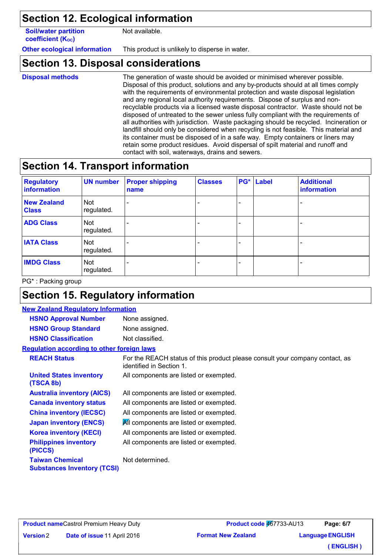### **Section 12. Ecological information**

**Soil/water partition coefficient (Koc)** 

Not available.

**Other ecological information** This product is unlikely to disperse in water.

#### **Section 13. Disposal considerations**

**Disposal methods**

The generation of waste should be avoided or minimised wherever possible. Disposal of this product, solutions and any by-products should at all times comply with the requirements of environmental protection and waste disposal legislation and any regional local authority requirements. Dispose of surplus and nonrecyclable products via a licensed waste disposal contractor. Waste should not be disposed of untreated to the sewer unless fully compliant with the requirements of all authorities with jurisdiction. Waste packaging should be recycled. Incineration or landfill should only be considered when recycling is not feasible. This material and its container must be disposed of in a safe way. Empty containers or liners may retain some product residues. Avoid dispersal of spilt material and runoff and contact with soil, waterways, drains and sewers.

### **Section 14. Transport information**

| <b>Regulatory</b><br>information   | <b>UN number</b>         | <b>Proper shipping</b><br>name | <b>Classes</b> | <b>PG*</b> Label | <b>Additional</b><br><b>information</b> |
|------------------------------------|--------------------------|--------------------------------|----------------|------------------|-----------------------------------------|
| <b>New Zealand</b><br><b>Class</b> | Not<br>regulated.        |                                |                |                  |                                         |
| <b>ADG Class</b>                   | <b>Not</b><br>regulated. |                                |                |                  |                                         |
| <b>IATA Class</b>                  | Not<br>regulated.        |                                |                |                  |                                         |
| <b>IMDG Class</b>                  | Not<br>regulated.        |                                |                |                  |                                         |

PG\* : Packing group

### **Section 15. Regulatory information**

| <b>New Zealand Regulatory Information</b> |                                                              |                                                                                                          |
|-------------------------------------------|--------------------------------------------------------------|----------------------------------------------------------------------------------------------------------|
|                                           | <b>HSNO Approval Number</b>                                  | None assigned.                                                                                           |
|                                           | <b>HSNO Group Standard</b>                                   | None assigned.                                                                                           |
|                                           | <b>HSNO Classification</b>                                   | Not classified.                                                                                          |
|                                           | <b>Requlation according to other foreign laws</b>            |                                                                                                          |
|                                           | <b>REACH Status</b>                                          | For the REACH status of this product please consult your company contact, as<br>identified in Section 1. |
|                                           | <b>United States inventory</b><br>(TSCA 8b)                  | All components are listed or exempted.                                                                   |
|                                           | <b>Australia inventory (AICS)</b>                            | All components are listed or exempted.                                                                   |
|                                           | <b>Canada inventory status</b>                               | All components are listed or exempted.                                                                   |
|                                           | <b>China inventory (IECSC)</b>                               | All components are listed or exempted.                                                                   |
|                                           | <b>Japan inventory (ENCS)</b>                                | All components are listed or exempted.                                                                   |
|                                           | <b>Korea inventory (KECI)</b>                                | All components are listed or exempted.                                                                   |
|                                           | <b>Philippines inventory</b><br>(PICCS)                      | All components are listed or exempted.                                                                   |
|                                           | <b>Taiwan Chemical</b><br><b>Substances Inventory (TCSI)</b> | Not determined.                                                                                          |
|                                           |                                                              |                                                                                                          |